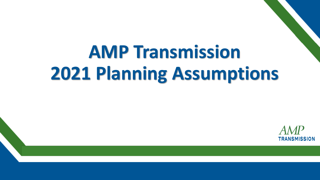# **AMP Transmission 2021 Planning Assumptions**

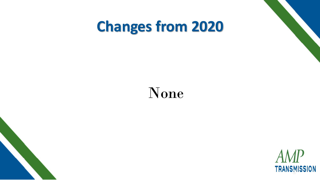#### **Changes from 2020**

#### None

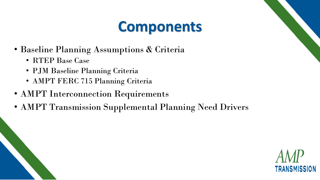#### **Components**

- Baseline Planning Assumptions & Criteria
	- RTEP Base Case
	- PJM Baseline Planning Criteria
	- AMPT FERC 715 Planning Criteria
- AMPT Interconnection Requirements
- AMPT Transmission Supplemental Planning Need Drivers

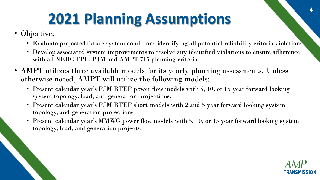# **2021 Planning Assumptions**

• Objective:

12/9/2020

- Evaluate projected future system conditions identifying all potential reliability criteria violations
- Develop associated system improvements to resolve any identified violations to ensure adherence with all NERC TPL, PJM and AMPT 715 planning criteria
- AMPT utilizes three available models for its yearly planning assessments. Unless otherwise noted, AMPT will utilize the following models:
	- Present calendar year's PJM RTEP power flow models with 5, 10, or 15 year forward looking system topology, load, and generation projections.
	- Present calendar year's PJM RTEP short models with 2 and 5 year forward looking system topology, and generation projections
	- Present calendar year's MMWG power flow models with 5, 10, or 15 year forward looking system topology, load, and generation projects.



**4**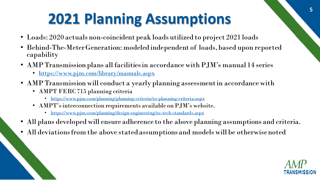# **2021 Planning Assumptions**

- Loads: 2020 actuals non-coincident peak loads utilized to project 2021 loads
- Behind-The-Meter Generation: modeled independent of loads, based upon reported capability
- AMP Transmission plans all facilities in accordance with PJM's manual 14 series
	- <https://www.pjm.com/library/manuals.aspx>
- AMP Transmission will conduct a yearly planning assessment in accordance with
	- AMPT FERC 715 planning criteria

12/9/2020

- <https://www.pjm.com/planning/planning-criteria/to-planning-criteria.aspx>
- AMPT's interconnection requirements available on PJM's website.
	- <https://www.pjm.com/planning/design-engineering/to-tech-standards.aspx>
- All plans developed will ensure adherence to the above planning assumptions and criteria.
- All deviations from the above stated assumptions and models will be otherwise noted

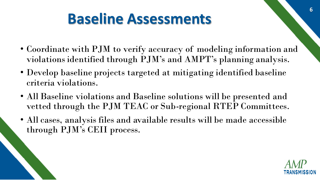### **Baseline Assessments**

- Coordinate with PJM to verify accuracy of modeling information and violations identified through PJM's and AMPT's planning analysis.
- Develop baseline projects targeted at mitigating identified baseline criteria violations.
- All Baseline violations and Baseline solutions will be presented and vetted through the PJM TEAC or Sub-regional RTEP Committees.
- All cases, analysis files and available results will be made accessible through PJM's CEII process.

12/9/2020



**6**